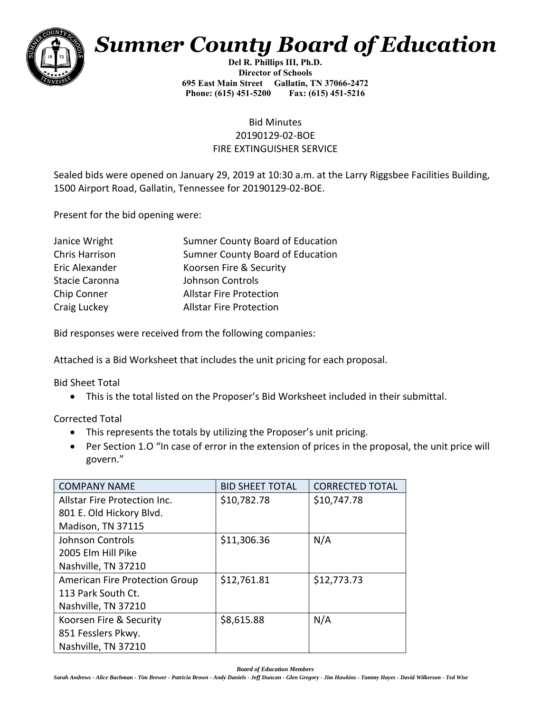

## *Sumner County Board of Education*

**Del R. Phillips III, Ph.D. Director of Schools 695 East Main Street Gallatin, TN 37066-2472 Phone: (615) 451-5200 Fax: (615) 451-5216** 

## Bid Minutes 20190129-02-BOE FIRE EXTINGUISHER SERVICE

Sealed bids were opened on January 29, 2019 at 10:30 a.m. at the Larry Riggsbee Facilities Building, 1500 Airport Road, Gallatin, Tennessee for 20190129-02-BOE.

Present for the bid opening were:

| Janice Wright  | Sumner County Board of Education |
|----------------|----------------------------------|
| Chris Harrison | Sumner County Board of Education |
| Eric Alexander | Koorsen Fire & Security          |
| Stacie Caronna | Johnson Controls                 |
| Chip Conner    | <b>Allstar Fire Protection</b>   |
| Craig Luckey   | <b>Allstar Fire Protection</b>   |
|                |                                  |

Bid responses were received from the following companies:

Attached is a Bid Worksheet that includes the unit pricing for each proposal.

Bid Sheet Total

• This is the total listed on the Proposer's Bid Worksheet included in their submittal.

Corrected Total

- This represents the totals by utilizing the Proposer's unit pricing.
- Per Section 1.O "In case of error in the extension of prices in the proposal, the unit price will govern."

| <b>COMPANY NAME</b>                   | <b>BID SHEET TOTAL</b> | <b>CORRECTED TOTAL</b> |
|---------------------------------------|------------------------|------------------------|
| Allstar Fire Protection Inc.          | \$10,782.78            | \$10,747.78            |
| 801 E. Old Hickory Blvd.              |                        |                        |
| Madison, TN 37115                     |                        |                        |
| Johnson Controls                      | \$11,306.36            | N/A                    |
| 2005 Elm Hill Pike                    |                        |                        |
| Nashville, TN 37210                   |                        |                        |
| <b>American Fire Protection Group</b> | \$12,761.81            | \$12,773.73            |
| 113 Park South Ct.                    |                        |                        |
| Nashville, TN 37210                   |                        |                        |
| Koorsen Fire & Security               | \$8,615.88             | N/A                    |
| 851 Fesslers Pkwy.                    |                        |                        |
| Nashville, TN 37210                   |                        |                        |

*Board of Education Members*